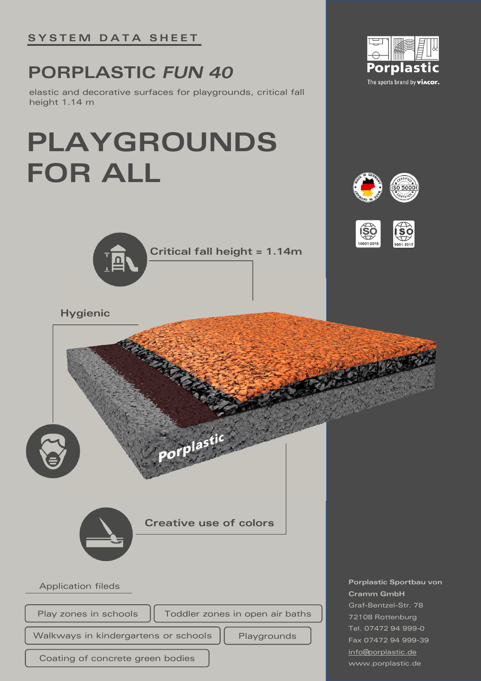## **PORPLASTIC** *FUN 40*

elastic and decorative surfaces for playgrounds, critical fall height 1.14 m

## **PLAYGROUNDS FOR ALL**









**Critical fall height = 1.14m**